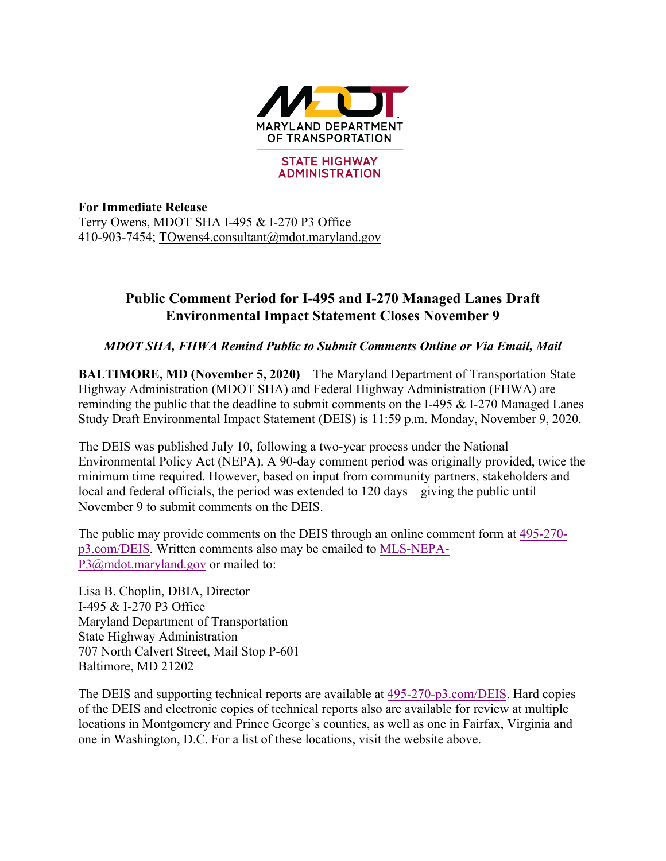

## **STATE HIGHWAY ADMINISTRATION**

**For Immediate Release** Terry Owens, MDOT SHA I-495 & I-270 P3 Office 410-903-7454; TOwens4.consultant@mdot.maryland.gov

## **Public Comment Period for I-495 and I-270 Managed Lanes Draft Environmental Impact Statement Closes November 9**

*MDOT SHA, FHWA Remind Public to Submit Comments Online or Via Email, Mail*

**BALTIMORE, MD (November 5, 2020)** – The Maryland Department of Transportation State Highway Administration (MDOT SHA) and Federal Highway Administration (FHWA) are reminding the public that the deadline to submit comments on the I-495 & I-270 Managed Lanes Study Draft Environmental Impact Statement (DEIS) is 11:59 p.m. Monday, November 9, 2020.

The DEIS was published July 10, following a two-year process under the National Environmental Policy Act (NEPA). A 90-day comment period was originally provided, twice the minimum time required. However, based on input from community partners, stakeholders and local and federal officials, the period was extended to 120 days – giving the public until November 9 to submit comments on the DEIS.

The public may provide comments on the DEIS through an online comment form at 495-270 p3.com/DEIS. Written comments also may be emailed to MLS-NEPA-P3@mdot.maryland.gov or mailed to:

Lisa B. Choplin, DBIA, Director I-495 & I-270 P3 Office Maryland Department of Transportation State Highway Administration 707 North Calvert Street, Mail Stop P-601 Baltimore, MD 21202

The DEIS and supporting technical reports are available at 495-270-p3.com/DEIS. Hard copies of the DEIS and electronic copies of technical reports also are available for review at multiple locations in Montgomery and Prince George's counties, as well as one in Fairfax, Virginia and one in Washington, D.C. For a list of these locations, visit the website above.